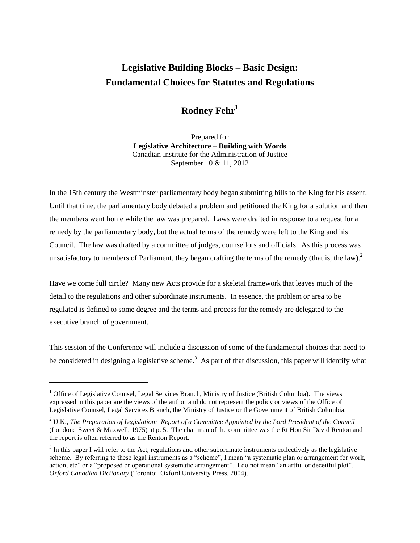# **Legislative Building Blocks – Basic Design: Fundamental Choices for Statutes and Regulations**

# **Rodney Fehr<sup>1</sup>**

Prepared for **Legislative Architecture – Building with Words** Canadian Institute for the Administration of Justice September 10 & 11, 2012

In the 15th century the Westminster parliamentary body began submitting bills to the King for his assent. Until that time, the parliamentary body debated a problem and petitioned the King for a solution and then the members went home while the law was prepared. Laws were drafted in response to a request for a remedy by the parliamentary body, but the actual terms of the remedy were left to the King and his Council. The law was drafted by a committee of judges, counsellors and officials. As this process was unsatisfactory to members of Parliament, they began crafting the terms of the remedy (that is, the law).<sup>2</sup>

Have we come full circle? Many new Acts provide for a skeletal framework that leaves much of the detail to the regulations and other subordinate instruments. In essence, the problem or area to be regulated is defined to some degree and the terms and process for the remedy are delegated to the executive branch of government.

This session of the Conference will include a discussion of some of the fundamental choices that need to be considered in designing a legislative scheme.<sup>3</sup> As part of that discussion, this paper will identify what

 $\overline{a}$ 

 $<sup>1</sup>$  Office of Legislative Counsel, Legal Services Branch, Ministry of Justice (British Columbia). The views</sup> expressed in this paper are the views of the author and do not represent the policy or views of the Office of Legislative Counsel, Legal Services Branch, the Ministry of Justice or the Government of British Columbia.

<sup>2</sup> U.K., *The Preparation of Legislation: Report of a Committee Appointed by the Lord President of the Council* (London: Sweet & Maxwell, 1975) at p. 5. The chairman of the committee was the Rt Hon Sir David Renton and the report is often referred to as the Renton Report.

 $3$  In this paper I will refer to the Act, regulations and other subordinate instruments collectively as the legislative scheme. By referring to these legal instruments as a "scheme", I mean "a systematic plan or arrangement for work, action, etc" or a "proposed or operational systematic arrangement". I do not mean "an artful or deceitful plot". *Oxford Canadian Dictionary* (Toronto: Oxford University Press, 2004).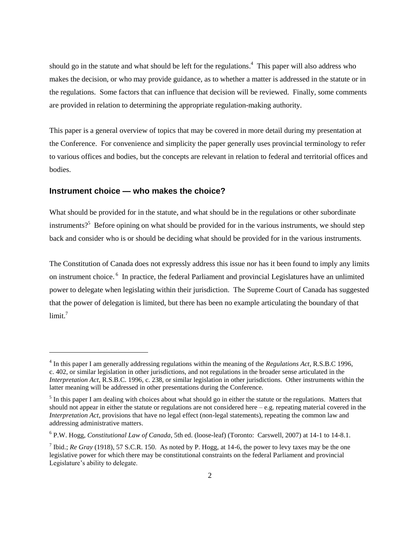should go in the statute and what should be left for the regulations.<sup>4</sup> This paper will also address who makes the decision, or who may provide guidance, as to whether a matter is addressed in the statute or in the regulations. Some factors that can influence that decision will be reviewed. Finally, some comments are provided in relation to determining the appropriate regulation-making authority.

This paper is a general overview of topics that may be covered in more detail during my presentation at the Conference. For convenience and simplicity the paper generally uses provincial terminology to refer to various offices and bodies, but the concepts are relevant in relation to federal and territorial offices and bodies.

#### **Instrument choice — who makes the choice?**

l

What should be provided for in the statute, and what should be in the regulations or other subordinate instruments?<sup>5</sup> Before opining on what should be provided for in the various instruments, we should step back and consider who is or should be deciding what should be provided for in the various instruments.

The Constitution of Canada does not expressly address this issue nor has it been found to imply any limits on instrument choice.<sup>6</sup> In practice, the federal Parliament and provincial Legislatures have an unlimited power to delegate when legislating within their jurisdiction. The Supreme Court of Canada has suggested that the power of delegation is limited, but there has been no example articulating the boundary of that limit. $^7$ 

<sup>4</sup> In this paper I am generally addressing regulations within the meaning of the *Regulations Act*, R.S.B.C 1996, c. 402, or similar legislation in other jurisdictions, and not regulations in the broader sense articulated in the *Interpretation Act*, R.S.B.C. 1996, c. 238, or similar legislation in other jurisdictions. Other instruments within the latter meaning will be addressed in other presentations during the Conference.

 $<sup>5</sup>$  In this paper I am dealing with choices about what should go in either the statute or the regulations. Matters that</sup> should not appear in either the statute or regulations are not considered here – e.g. repeating material covered in the *Interpretation Act*, provisions that have no legal effect (non-legal statements), repeating the common law and addressing administrative matters.

<sup>6</sup> P.W. Hogg, *Constitutional Law of Canada*, 5th ed. (loose-leaf) (Toronto: Carswell, 2007) at 14-1 to 14-8.1.

<sup>&</sup>lt;sup>7</sup> Ibid.; *Re Gray* (1918), 57 S.C.R. 150. As noted by P. Hogg, at 14-6, the power to levy taxes may be the one legislative power for which there may be constitutional constraints on the federal Parliament and provincial Legislature's ability to delegate.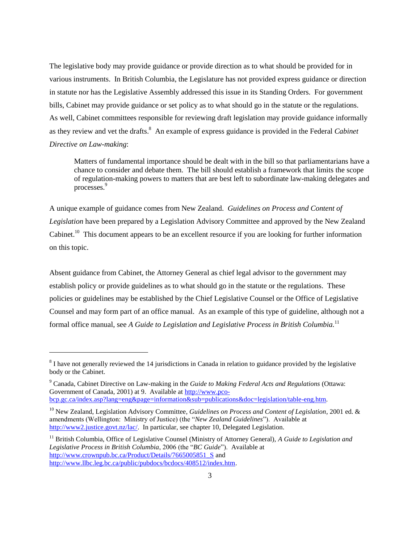The legislative body may provide guidance or provide direction as to what should be provided for in various instruments. In British Columbia, the Legislature has not provided express guidance or direction in statute nor has the Legislative Assembly addressed this issue in its Standing Orders. For government bills, Cabinet may provide guidance or set policy as to what should go in the statute or the regulations. As well, Cabinet committees responsible for reviewing draft legislation may provide guidance informally as they review and vet the drafts.<sup>8</sup> An example of express guidance is provided in the Federal *Cabinet Directive on Law-making*:

Matters of fundamental importance should be dealt with in the bill so that parliamentarians have a chance to consider and debate them. The bill should establish a framework that limits the scope of regulation-making powers to matters that are best left to subordinate law-making delegates and processes.<sup>9</sup>

A unique example of guidance comes from New Zealand. *Guidelines on Process and Content of Legislation* have been prepared by a Legislation Advisory Committee and approved by the New Zealand Cabinet.<sup>10</sup> This document appears to be an excellent resource if you are looking for further information on this topic.

Absent guidance from Cabinet, the Attorney General as chief legal advisor to the government may establish policy or provide guidelines as to what should go in the statute or the regulations. These policies or guidelines may be established by the Chief Legislative Counsel or the Office of Legislative Counsel and may form part of an office manual. As an example of this type of guideline, although not a formal office manual, see *A Guide to Legislation and Legislative Process in British Columbia.*<sup>11</sup>

l

 $8$  I have not generally reviewed the 14 jurisdictions in Canada in relation to guidance provided by the legislative body or the Cabinet.

<sup>9</sup> Canada, Cabinet Directive on Law-making in the *Guide to Making Federal Acts and Regulations* (Ottawa: Government of Canada, 2001) at 9. Available at [http://www.pco](http://www.pco-bcp.gc.ca/index.asp?lang=eng&page=information&sub=publications&doc=legislation/table-eng.htm)[bcp.gc.ca/index.asp?lang=eng&page=information&sub=publications&doc=legislation/table-eng.htm.](http://www.pco-bcp.gc.ca/index.asp?lang=eng&page=information&sub=publications&doc=legislation/table-eng.htm)

<sup>10</sup> New Zealand, Legislation Advisory Committee*, Guidelines on Process and Content of Legislation*, 2001 ed. & amendments (Wellington: Ministry of Justice) (the "*New Zealand Guidelines*"). Available at [http://www2.justice.govt.nz/lac/.](http://www2.justice.govt.nz/lac/) In particular, see chapter 10, Delegated Legislation.

<sup>11</sup> British Columbia, Office of Legislative Counsel (Ministry of Attorney General), *A Guide to Legislation and Legislative Process in British Columbia*, 2006 (the "*BC Guide*"). Available at http://www.crownpub.bc.ca/Product/Details/7665005851 S and [http://www.llbc.leg.bc.ca/public/pubdocs/bcdocs/408512/index.htm.](http://www.llbc.leg.bc.ca/public/pubdocs/bcdocs/408512/index.htm)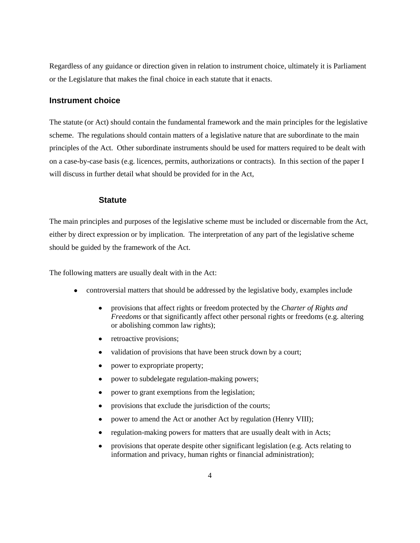Regardless of any guidance or direction given in relation to instrument choice, ultimately it is Parliament or the Legislature that makes the final choice in each statute that it enacts.

#### **Instrument choice**

The statute (or Act) should contain the fundamental framework and the main principles for the legislative scheme. The regulations should contain matters of a legislative nature that are subordinate to the main principles of the Act. Other subordinate instruments should be used for matters required to be dealt with on a case-by-case basis (e.g. licences, permits, authorizations or contracts). In this section of the paper I will discuss in further detail what should be provided for in the Act,

#### **Statute**

The main principles and purposes of the legislative scheme must be included or discernable from the Act, either by direct expression or by implication. The interpretation of any part of the legislative scheme should be guided by the framework of the Act.

The following matters are usually dealt with in the Act:

- controversial matters that should be addressed by the legislative body, examples include
	- provisions that affect rights or freedom protected by the *Charter of Rights and*   $\bullet$ *Freedoms* or that significantly affect other personal rights or freedoms (e.g. altering or abolishing common law rights);
	- retroactive provisions;  $\bullet$
	- validation of provisions that have been struck down by a court;
	- power to expropriate property;
	- power to subdelegate regulation-making powers;
	- power to grant exemptions from the legislation;
	- provisions that exclude the jurisdiction of the courts;
	- power to amend the Act or another Act by regulation (Henry VIII);
	- regulation-making powers for matters that are usually dealt with in Acts;
	- provisions that operate despite other significant legislation (e.g. Acts relating to information and privacy, human rights or financial administration);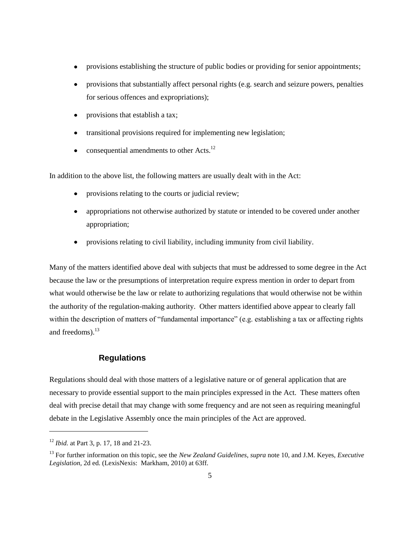- provisions establishing the structure of public bodies or providing for senior appointments;  $\bullet$
- provisions that substantially affect personal rights (e.g. search and seizure powers, penalties  $\bullet$ for serious offences and expropriations);
- provisions that establish a tax;  $\bullet$
- transitional provisions required for implementing new legislation;  $\bullet$
- consequential amendments to other Acts.<sup>12</sup>  $\bullet$

In addition to the above list, the following matters are usually dealt with in the Act:

- provisions relating to the courts or judicial review;
- appropriations not otherwise authorized by statute or intended to be covered under another appropriation;
- provisions relating to civil liability, including immunity from civil liability.  $\bullet$

Many of the matters identified above deal with subjects that must be addressed to some degree in the Act because the law or the presumptions of interpretation require express mention in order to depart from what would otherwise be the law or relate to authorizing regulations that would otherwise not be within the authority of the regulation-making authority. Other matters identified above appear to clearly fall within the description of matters of "fundamental importance" (e.g. establishing a tax or affecting rights and freedoms). $^{13}$ 

## **Regulations**

Regulations should deal with those matters of a legislative nature or of general application that are necessary to provide essential support to the main principles expressed in the Act. These matters often deal with precise detail that may change with some frequency and are not seen as requiring meaningful debate in the Legislative Assembly once the main principles of the Act are approved.

l

<sup>12</sup> *Ibid.* at Part 3, p. 17, 18 and 21-23.

<sup>13</sup> For further information on this topic, see the *New Zealand Guidelines*, *supra* note 10, and J.M. Keyes, *Executive Legislation*, 2d ed. (LexisNexis: Markham, 2010) at 63ff.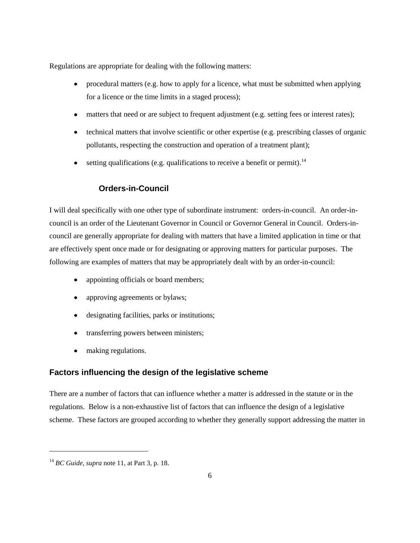Regulations are appropriate for dealing with the following matters:

- procedural matters (e.g. how to apply for a licence, what must be submitted when applying for a licence or the time limits in a staged process);
- matters that need or are subject to frequent adjustment (e.g. setting fees or interest rates);
- technical matters that involve scientific or other expertise (e.g. prescribing classes of organic pollutants, respecting the construction and operation of a treatment plant);
- setting qualifications (e.g. qualifications to receive a benefit or permit).<sup>14</sup>  $\bullet$

# **Orders-in-Council**

I will deal specifically with one other type of subordinate instrument: orders-in-council. An order-incouncil is an order of the Lieutenant Governor in Council or Governor General in Council. Orders-incouncil are generally appropriate for dealing with matters that have a limited application in time or that are effectively spent once made or for designating or approving matters for particular purposes. The following are examples of matters that may be appropriately dealt with by an order-in-council:

- appointing officials or board members;
- approving agreements or bylaws;
- designating facilities, parks or institutions;
- transferring powers between ministers;
- making regulations.  $\bullet$

## **Factors influencing the design of the legislative scheme**

There are a number of factors that can influence whether a matter is addressed in the statute or in the regulations. Below is a non-exhaustive list of factors that can influence the design of a legislative scheme. These factors are grouped according to whether they generally support addressing the matter in

l

<sup>14</sup> *BC Guide, supra* note 11, at Part 3, p. 18.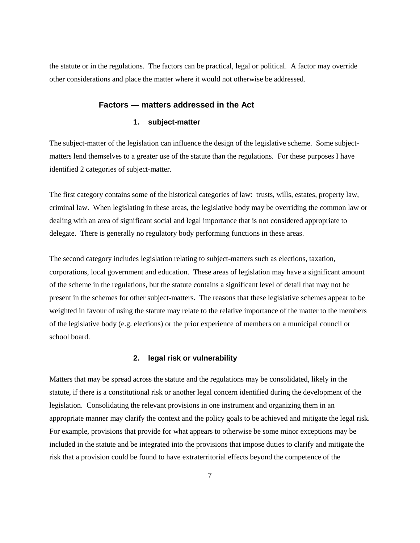the statute or in the regulations. The factors can be practical, legal or political. A factor may override other considerations and place the matter where it would not otherwise be addressed.

#### **Factors — matters addressed in the Act**

#### **1. subject-matter**

The subject-matter of the legislation can influence the design of the legislative scheme. Some subjectmatters lend themselves to a greater use of the statute than the regulations. For these purposes I have identified 2 categories of subject-matter.

The first category contains some of the historical categories of law: trusts, wills, estates, property law, criminal law. When legislating in these areas, the legislative body may be overriding the common law or dealing with an area of significant social and legal importance that is not considered appropriate to delegate. There is generally no regulatory body performing functions in these areas.

The second category includes legislation relating to subject-matters such as elections, taxation, corporations, local government and education. These areas of legislation may have a significant amount of the scheme in the regulations, but the statute contains a significant level of detail that may not be present in the schemes for other subject-matters. The reasons that these legislative schemes appear to be weighted in favour of using the statute may relate to the relative importance of the matter to the members of the legislative body (e.g. elections) or the prior experience of members on a municipal council or school board.

#### **2. legal risk or vulnerability**

Matters that may be spread across the statute and the regulations may be consolidated, likely in the statute, if there is a constitutional risk or another legal concern identified during the development of the legislation. Consolidating the relevant provisions in one instrument and organizing them in an appropriate manner may clarify the context and the policy goals to be achieved and mitigate the legal risk. For example, provisions that provide for what appears to otherwise be some minor exceptions may be included in the statute and be integrated into the provisions that impose duties to clarify and mitigate the risk that a provision could be found to have extraterritorial effects beyond the competence of the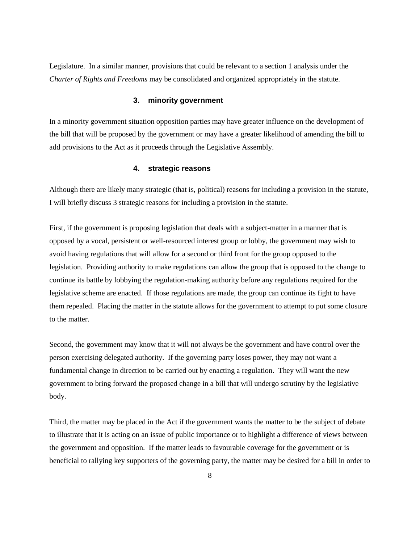Legislature. In a similar manner, provisions that could be relevant to a section 1 analysis under the *Charter of Rights and Freedoms* may be consolidated and organized appropriately in the statute.

#### **3. minority government**

In a minority government situation opposition parties may have greater influence on the development of the bill that will be proposed by the government or may have a greater likelihood of amending the bill to add provisions to the Act as it proceeds through the Legislative Assembly.

#### **4. strategic reasons**

Although there are likely many strategic (that is, political) reasons for including a provision in the statute, I will briefly discuss 3 strategic reasons for including a provision in the statute.

First, if the government is proposing legislation that deals with a subject-matter in a manner that is opposed by a vocal, persistent or well-resourced interest group or lobby, the government may wish to avoid having regulations that will allow for a second or third front for the group opposed to the legislation. Providing authority to make regulations can allow the group that is opposed to the change to continue its battle by lobbying the regulation-making authority before any regulations required for the legislative scheme are enacted. If those regulations are made, the group can continue its fight to have them repealed. Placing the matter in the statute allows for the government to attempt to put some closure to the matter.

Second, the government may know that it will not always be the government and have control over the person exercising delegated authority. If the governing party loses power, they may not want a fundamental change in direction to be carried out by enacting a regulation. They will want the new government to bring forward the proposed change in a bill that will undergo scrutiny by the legislative body.

Third, the matter may be placed in the Act if the government wants the matter to be the subject of debate to illustrate that it is acting on an issue of public importance or to highlight a difference of views between the government and opposition. If the matter leads to favourable coverage for the government or is beneficial to rallying key supporters of the governing party, the matter may be desired for a bill in order to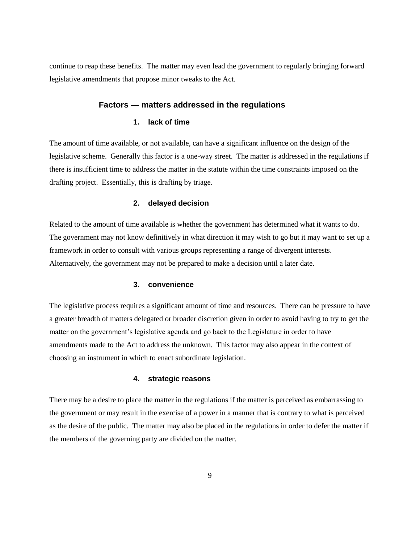continue to reap these benefits. The matter may even lead the government to regularly bringing forward legislative amendments that propose minor tweaks to the Act.

#### **Factors — matters addressed in the regulations**

#### **1. lack of time**

The amount of time available, or not available, can have a significant influence on the design of the legislative scheme. Generally this factor is a one-way street. The matter is addressed in the regulations if there is insufficient time to address the matter in the statute within the time constraints imposed on the drafting project. Essentially, this is drafting by triage.

#### **2. delayed decision**

Related to the amount of time available is whether the government has determined what it wants to do. The government may not know definitively in what direction it may wish to go but it may want to set up a framework in order to consult with various groups representing a range of divergent interests. Alternatively, the government may not be prepared to make a decision until a later date.

#### **3. convenience**

The legislative process requires a significant amount of time and resources. There can be pressure to have a greater breadth of matters delegated or broader discretion given in order to avoid having to try to get the matter on the government's legislative agenda and go back to the Legislature in order to have amendments made to the Act to address the unknown. This factor may also appear in the context of choosing an instrument in which to enact subordinate legislation.

#### **4. strategic reasons**

There may be a desire to place the matter in the regulations if the matter is perceived as embarrassing to the government or may result in the exercise of a power in a manner that is contrary to what is perceived as the desire of the public. The matter may also be placed in the regulations in order to defer the matter if the members of the governing party are divided on the matter.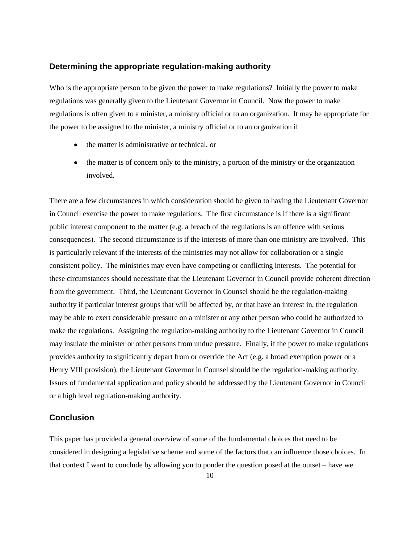#### **Determining the appropriate regulation-making authority**

Who is the appropriate person to be given the power to make regulations? Initially the power to make regulations was generally given to the Lieutenant Governor in Council. Now the power to make regulations is often given to a minister, a ministry official or to an organization. It may be appropriate for the power to be assigned to the minister, a ministry official or to an organization if

- the matter is administrative or technical, or
- the matter is of concern only to the ministry, a portion of the ministry or the organization involved.

There are a few circumstances in which consideration should be given to having the Lieutenant Governor in Council exercise the power to make regulations. The first circumstance is if there is a significant public interest component to the matter (e.g. a breach of the regulations is an offence with serious consequences). The second circumstance is if the interests of more than one ministry are involved. This is particularly relevant if the interests of the ministries may not allow for collaboration or a single consistent policy. The ministries may even have competing or conflicting interests. The potential for these circumstances should necessitate that the Lieutenant Governor in Council provide coherent direction from the government. Third, the Lieutenant Governor in Counsel should be the regulation-making authority if particular interest groups that will be affected by, or that have an interest in, the regulation may be able to exert considerable pressure on a minister or any other person who could be authorized to make the regulations. Assigning the regulation-making authority to the Lieutenant Governor in Council may insulate the minister or other persons from undue pressure. Finally, if the power to make regulations provides authority to significantly depart from or override the Act (e.g. a broad exemption power or a Henry VIII provision), the Lieutenant Governor in Counsel should be the regulation-making authority. Issues of fundamental application and policy should be addressed by the Lieutenant Governor in Council or a high level regulation-making authority.

#### **Conclusion**

This paper has provided a general overview of some of the fundamental choices that need to be considered in designing a legislative scheme and some of the factors that can influence those choices. In that context I want to conclude by allowing you to ponder the question posed at the outset – have we